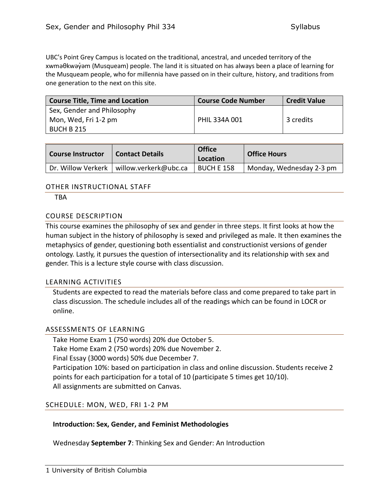UBC's Point Grey Campus is located on the traditional, ancestral, and unceded territory of the xwməθkwəy̓əm (Musqueam) people. The land it is situated on has always been a place of learning for the Musqueam people, who for millennia have passed on in their culture, history, and traditions from one generation to the next on this site.

| <b>Course Title, Time and Location</b> | <b>Course Code Number</b> | <b>Credit Value</b> |
|----------------------------------------|---------------------------|---------------------|
| Sex, Gender and Philosophy             |                           |                     |
| Mon, Wed, Fri 1-2 pm                   | PHIL 334A 001             | 3 credits           |
| BUCH B 215                             |                           |                     |

| <b>Course Instructor</b> | <b>Contact Details</b> | <b>Office</b><br>Location | <b>Office Hours</b>      |
|--------------------------|------------------------|---------------------------|--------------------------|
| Dr. Willow Verkerk       | willow.verkerk@ubc.ca  | <b>BUCH E 158</b>         | Monday, Wednesday 2-3 pm |

## OTHER INSTRUCTIONAL STAFF

**TRA** 

#### COURSE DESCRIPTION

This course examines the philosophy of sex and gender in three steps. It first looks at how the human subject in the history of philosophy is sexed and privileged as male. It then examines the metaphysics of gender, questioning both essentialist and constructionist versions of gender ontology. Lastly, it pursues the question of intersectionality and its relationship with sex and gender. This is a lecture style course with class discussion.

#### LEARNING ACTIVITIES

Students are expected to read the materials before class and come prepared to take part in class discussion. The schedule includes all of the readings which can be found in LOCR or online.

#### ASSESSMENTS OF LEARNING

Take Home Exam 1 (750 words) 20% due October 5. Take Home Exam 2 (750 words) 20% due November 2. Final Essay (3000 words) 50% due December 7. Participation 10%: based on participation in class and online discussion. Students receive 2 points for each participation for a total of 10 (participate 5 times get 10/10). All assignments are submitted on Canvas.

# SCHEDULE: MON, WED, FRI 1-2 PM

#### **Introduction: Sex, Gender, and Feminist Methodologies**

Wednesday **September 7**: Thinking Sex and Gender: An Introduction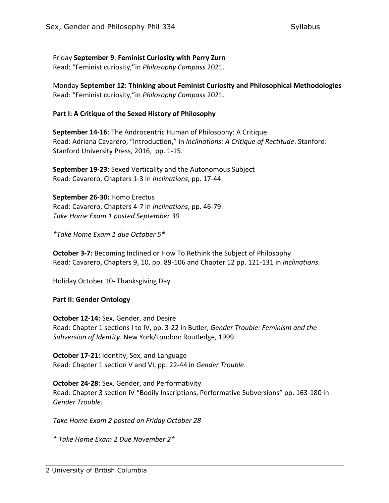Friday **September 9**: **Feminist Curiosity with Perry Zurn** Read: "Feminist curiosity,"in *Philosophy Compass* 2021.

Monday **September 12: Thinking about Feminist Curiosity and Philosophical Methodologies** Read: "Feminist curiosity,"in *Philosophy Compass* 2021.

## **Part I: A Critique of the Sexed History of Philosophy**

**September 14-16**: The Androcentric Human of Philosophy: A Critique Read: Adriana Cavarero, "Introduction," in *Inclinations: A Critique of Rectitude*. Stanford: Stanford University Press, 2016, pp. 1-15.

**September 19-23:** Sexed Verticality and the Autonomous Subject Read: Cavarero, Chapters 1-3 in *Inclinations*, pp. 17-44.

**September 26-30:** Homo Erectus Read: Cavarero, Chapters 4-7 in *Inclinations*, pp. 46-79. *Take Home Exam 1 posted September 30*

*\*Take Home Exam 1 due October 5\**

**October 3-7:** Becoming Inclined or How To Rethink the Subject of Philosophy Read: Cavarero, Chapters 9, 10, pp. 89-106 and Chapter 12 pp. 121-131 in *Inclinations*.

Holiday October 10- Thanksgiving Day

#### **Part II: Gender Ontology**

**October 12-14:** Sex, Gender, and Desire Read: Chapter 1 sections I to IV, pp. 3-22 in Butler, *Gender Trouble: Feminism and the Subversion of Identity*. New York/London: Routledge, 1999.

**October 17-21:** Identity, Sex, and Language Read: Chapter 1 section V and VI, pp. 22-44 in *Gender Trouble*.

**October 24-28:** Sex, Gender, and Performativity Read: Chapter 3 section IV "Bodily Inscriptions, Performative Subversions" pp. 163-180 in *Gender Trouble*.

*Take Home Exam 2 posted on Friday October 28*

*\* Take Home Exam 2 Due November 2\**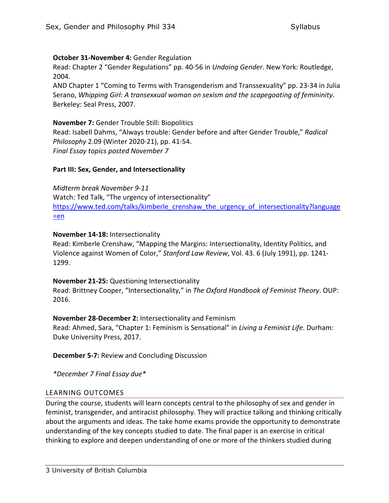## **October 31-November 4:** Gender Regulation

Read: Chapter 2 "Gender Regulations" pp. 40-56 in *Undoing Gender*. New York: Routledge, 2004.

AND Chapter 1 "Coming to Terms with Transgenderism and Transsexuality" pp. 23-34 in Julia Serano, *Whipping Girl: A transexxual woman on sexism and the scapegoating of femininity*. Berkeley: Seal Press, 2007.

#### **November 7:** Gender Trouble Still: Biopolitics

Read: Isabell Dahms, "Always trouble: Gender before and after Gender Trouble," *Radical Philosophy* 2.09 (Winter 2020-21), pp. 41-54. *Final Essay topics posted November 7*

## **Part III: Sex, Gender, and Intersectionality**

*Midterm break November 9-11* Watch: Ted Talk, "The urgency of intersectionality" [https://www.ted.com/talks/kimberle\\_crenshaw\\_the\\_urgency\\_of\\_intersectionality?language](https://www.ted.com/talks/kimberle_crenshaw_the_urgency_of_intersectionality?language=en)  $=$ en

## **November 14-18:** Intersectionality

Read: Kimberle Crenshaw, "Mapping the Margins: Intersectionality, Identity Politics, and Violence against Women of Color," *Stanford Law Review*, Vol. 43. 6 (July 1991), pp. 1241- 1299.

# **November 21-25:** Questioning Intersectionality

Read: Brittney Cooper, "Intersectionality," in *The Oxford Handbook of Feminist Theory*. OUP: 2016.

# **November 28-December 2:** Intersectionality and Feminism

Read: Ahmed, Sara, "Chapter 1: Feminism is Sensational" in *Living a Feminist Life*. Durham: Duke University Press, 2017.

**December 5-7:** Review and Concluding Discussion

*\*December 7 Final Essay due\**

# LEARNING OUTCOMES

During the course, students will learn concepts central to the philosophy of sex and gender in feminist, transgender, and antiracist philosophy. They will practice talking and thinking critically about the arguments and ideas. The take home exams provide the opportunity to demonstrate understanding of the key concepts studied to date. The final paper is an exercise in critical thinking to explore and deepen understanding of one or more of the thinkers studied during